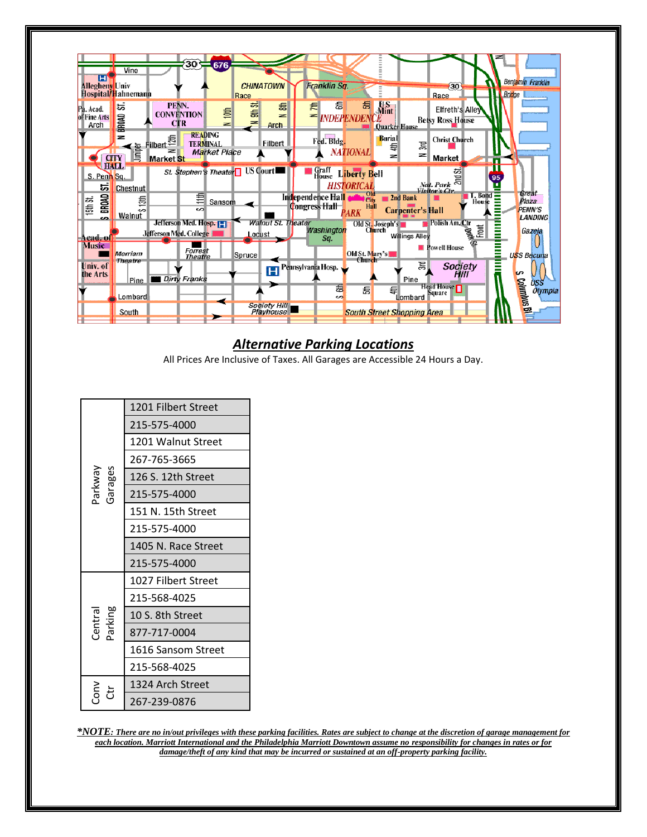| н<br>Allegheny Univ               | Vine<br>Hospital/Hahnemann           |                             |                                       | $30 - 676$               | <b>CHINATOWN</b><br>Race                    |                       | Franklin Sq.                                        |                                   |                                                 |                         | 30 <sup>1</sup><br>Race                                                                                              |                                   | <b>Bridge</b> | Benjamin Franklin                          |
|-----------------------------------|--------------------------------------|-----------------------------|---------------------------------------|--------------------------|---------------------------------------------|-----------------------|-----------------------------------------------------|-----------------------------------|-------------------------------------------------|-------------------------|----------------------------------------------------------------------------------------------------------------------|-----------------------------------|---------------|--------------------------------------------|
| Pá. Acad.<br>of Fine Arts<br>Arch | ಜ<br>BROAD                           | PENN.                       | <b>CONVENTION</b><br><b>CTR</b>       | $\overline{m}$<br>$\geq$ | ळ<br>昜<br>$\equiv$                          | 磊<br>z<br><b>Arch</b> | 磊<br>€<br>$=$ <i>INDEPENDENCE</i>                   | 磊                                 | $\frac{1}{\text{Mint}}$<br><b>Quarker House</b> |                         | <b>Elfreth's Alley</b><br><b>Betsy Ross House</b>                                                                    |                                   |               |                                            |
|                                   | z<br>Juniper<br><b>CITY</b>          | Filbert<br><b>Market</b> St | <b>READING</b><br><b>TERMINAL</b>     | <b>Market Place</b>      |                                             | Filbert               | Fed. Bldg.                                          | <b>NATIONAL</b>                   | Burial<br>芑<br>ᆋ                                | $\overline{35}$<br>z    | <b>Christ Church</b><br><b>Market</b>                                                                                |                                   |               |                                            |
| S. Penn Sq.<br>55                 | <b>HALL</b><br>Chestnut              |                             |                                       |                          | St. Stephen's Theater <sup>1</sup> US Court |                       | Graff<br>House                                      | <b>Liberty Bell</b><br>HISTORICAL |                                                 |                         | $\frac{1}{\sqrt{2}}$<br>$\frac{1}{\sqrt{2}}$<br>$\frac{1}{\sqrt{2}}$<br>$\frac{1}{\sqrt{2}}$<br>$\frac{1}{\sqrt{2}}$ |                                   | 95            |                                            |
| BROAD<br>15th St.<br>co.          | 氬<br>ò<br>Walnut                     |                             | ₿<br>ഗ                                | Sansom                   |                                             |                       | Independence Hall <b>an</b><br><b>Congress Hall</b> | old<br>City<br>Hall<br>PARK       | 2nd Bank                                        | <b>Carpenter's Hall</b> |                                                                                                                      | $\Gamma$ . Bond $\equiv$<br>House |               | Great<br>Plaza<br><b>PENN'S</b><br>LANDING |
| -Acad.-of<br><b>Music</b>         |                                      | Jefferson Med. College      | Jefferson Med. Hosp. [1]<br>Forrest   |                          | Locust                                      | Walnut St. Theater    | Washington<br>Sa.                                   |                                   | Old St. Joseph's<br>Church <sup>*</sup>         | <b>Willings Alley</b>   | <b>Polish Am. Ctr</b><br><b>Powell House</b>                                                                         | a<br>Front                        | Ē             | Gazela                                     |
| Univ. of<br>the Arts              | Merriam<br><b>Theatre</b><br>Pine II |                             | <b>Theatre</b><br><b>Dirty Franks</b> |                          | Spruce                                      | н                     | Pennsylvania Hosp.                                  | Old St. Marv's I<br><b>Church</b> |                                                 | 冩<br>Pine               | Society<br>Hill                                                                                                      |                                   | Ξ             | <b>USS Becuna</b><br>S<br>USS              |
|                                   | Lombard                              |                             |                                       |                          |                                             |                       | 葛<br>S                                              | 磊                                 | 碞                                               | Lombard                 | Head House <sup>n</sup><br>Square                                                                                    |                                   |               | <b>Columbus Bill</b><br>Olympia            |
|                                   | South                                |                             |                                       |                          |                                             | Society Hill          |                                                     |                                   | <b>South Street Shopping Area</b>               |                         |                                                                                                                      |                                   |               |                                            |

## *Alternative Parking Locations*

All Prices Are Inclusive of Taxes. All Garages are Accessible 24 Hours a Day.

|                    | 1201 Filbert Street |  |  |  |  |
|--------------------|---------------------|--|--|--|--|
|                    | 215-575-4000        |  |  |  |  |
|                    | 1201 Walnut Street  |  |  |  |  |
|                    | 267-765-3665        |  |  |  |  |
|                    | 126 S. 12th Street  |  |  |  |  |
| Garages<br>Parkway | 215-575-4000        |  |  |  |  |
|                    | 151 N. 15th Street  |  |  |  |  |
|                    | 215-575-4000        |  |  |  |  |
|                    | 1405 N. Race Street |  |  |  |  |
|                    | 215-575-4000        |  |  |  |  |
|                    | 1027 Filbert Street |  |  |  |  |
|                    | 215-568-4025        |  |  |  |  |
|                    | 10 S. 8th Street    |  |  |  |  |
| Central<br>Parking | 877-717-0004        |  |  |  |  |
|                    | 1616 Sansom Street  |  |  |  |  |
|                    | 215-568-4025        |  |  |  |  |
|                    | 1324 Arch Street    |  |  |  |  |
|                    | 267-239-0876        |  |  |  |  |

*\*NOTE: There are no in/out privileges with these parking facilities. Rates are subject to change at the discretion of garage management for each location. Marriott International and the Philadelphia Marriott Downtown assume no responsibility for changes in rates or for damage/theft of any kind that may be incurred or sustained at an off-property parking facility.*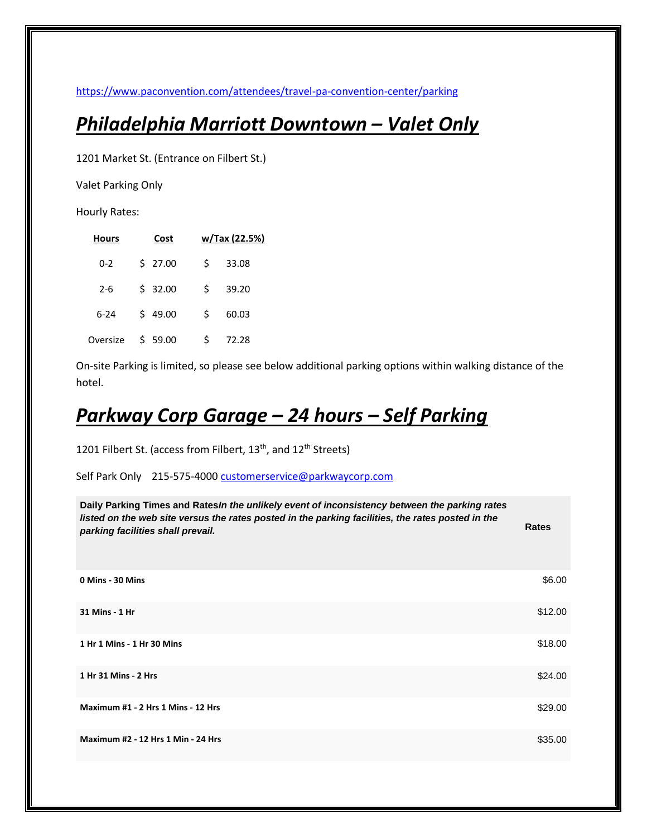<https://www.paconvention.com/attendees/travel-pa-convention-center/parking>

## *Philadelphia Marriott Downtown – Valet Only*

1201 Market St. (Entrance on Filbert St.)

Valet Parking Only

Hourly Rates:

| <b>Hours</b> | Cost       | w/Tax (22.5%) |
|--------------|------------|---------------|
| $0 - 2$      | \$27.00    | 33.08<br>Ś    |
| 2-6          | \$32.00    | 39.20<br>Ś    |
| 6-24         | \$49.00    | Ś<br>60.03    |
| Oversize     | Ś<br>59.00 | Ś<br>72.28    |

On-site Parking is limited, so please see below additional parking options within walking distance of the hotel.

## *Parkway Corp Garage – 24 hours – Self Parking*

1201 Filbert St. (access from Filbert,  $13<sup>th</sup>$ , and  $12<sup>th</sup>$  Streets)

Self Park Only 215-575-400[0 customerservice@parkwaycorp.com](mailto:customerservice@parkwaycorp.com)

| Daily Parking Times and Rates In the unlikely event of inconsistency between the parking rates<br>listed on the web site versus the rates posted in the parking facilities, the rates posted in the<br>parking facilities shall prevail. | <b>Rates</b> |
|------------------------------------------------------------------------------------------------------------------------------------------------------------------------------------------------------------------------------------------|--------------|
| 0 Mins - 30 Mins                                                                                                                                                                                                                         | \$6.00       |
| 31 Mins - 1 Hr                                                                                                                                                                                                                           | \$12.00      |
| 1 Hr 1 Mins - 1 Hr 30 Mins                                                                                                                                                                                                               | \$18.00      |
| 1 Hr 31 Mins - 2 Hrs                                                                                                                                                                                                                     | \$24.00      |
| Maximum #1 - 2 Hrs 1 Mins - 12 Hrs                                                                                                                                                                                                       | \$29.00      |
| <b>Maximum #2 - 12 Hrs 1 Min - 24 Hrs</b>                                                                                                                                                                                                | \$35.00      |